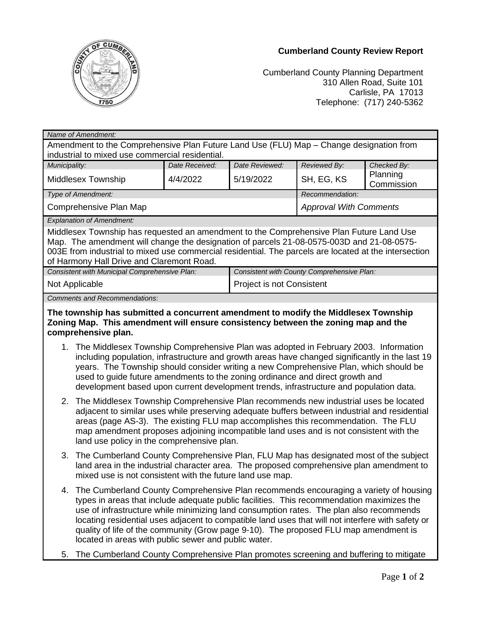

## **Cumberland County Review Report**

Cumberland County Planning Department 310 Allen Road, Suite 101 Carlisle, PA 17013 Telephone: (717) 240-5362

| Name of Amendment:                                                                                                                                                                                                                                                                                                                                                                                                                                            |                                                                                                                                                                                                                                                                                                                                                                                      |                           |                                            |                        |  |
|---------------------------------------------------------------------------------------------------------------------------------------------------------------------------------------------------------------------------------------------------------------------------------------------------------------------------------------------------------------------------------------------------------------------------------------------------------------|--------------------------------------------------------------------------------------------------------------------------------------------------------------------------------------------------------------------------------------------------------------------------------------------------------------------------------------------------------------------------------------|---------------------------|--------------------------------------------|------------------------|--|
| Amendment to the Comprehensive Plan Future Land Use (FLU) Map - Change designation from<br>industrial to mixed use commercial residential.                                                                                                                                                                                                                                                                                                                    |                                                                                                                                                                                                                                                                                                                                                                                      |                           |                                            |                        |  |
| Municipality:                                                                                                                                                                                                                                                                                                                                                                                                                                                 | Date Received:                                                                                                                                                                                                                                                                                                                                                                       | Date Reviewed:            | Reviewed By:                               | Checked By:            |  |
| Middlesex Township                                                                                                                                                                                                                                                                                                                                                                                                                                            | 4/4/2022                                                                                                                                                                                                                                                                                                                                                                             | 5/19/2022                 | SH, EG, KS                                 | Planning<br>Commission |  |
| Type of Amendment:                                                                                                                                                                                                                                                                                                                                                                                                                                            |                                                                                                                                                                                                                                                                                                                                                                                      |                           | Recommendation:                            |                        |  |
| Comprehensive Plan Map                                                                                                                                                                                                                                                                                                                                                                                                                                        |                                                                                                                                                                                                                                                                                                                                                                                      |                           | <b>Approval With Comments</b>              |                        |  |
| <b>Explanation of Amendment:</b>                                                                                                                                                                                                                                                                                                                                                                                                                              |                                                                                                                                                                                                                                                                                                                                                                                      |                           |                                            |                        |  |
| Middlesex Township has requested an amendment to the Comprehensive Plan Future Land Use<br>Map. The amendment will change the designation of parcels 21-08-0575-003D and 21-08-0575-<br>003E from industrial to mixed use commercial residential. The parcels are located at the intersection<br>of Harmony Hall Drive and Claremont Road.                                                                                                                    |                                                                                                                                                                                                                                                                                                                                                                                      |                           |                                            |                        |  |
|                                                                                                                                                                                                                                                                                                                                                                                                                                                               | Consistent with Municipal Comprehensive Plan:                                                                                                                                                                                                                                                                                                                                        |                           | Consistent with County Comprehensive Plan: |                        |  |
| Not Applicable                                                                                                                                                                                                                                                                                                                                                                                                                                                |                                                                                                                                                                                                                                                                                                                                                                                      | Project is not Consistent |                                            |                        |  |
| <b>Comments and Recommendations:</b>                                                                                                                                                                                                                                                                                                                                                                                                                          |                                                                                                                                                                                                                                                                                                                                                                                      |                           |                                            |                        |  |
| The township has submitted a concurrent amendment to modify the Middlesex Township<br>Zoning Map. This amendment will ensure consistency between the zoning map and the<br>comprehensive plan.                                                                                                                                                                                                                                                                |                                                                                                                                                                                                                                                                                                                                                                                      |                           |                                            |                        |  |
| 1. The Middlesex Township Comprehensive Plan was adopted in February 2003. Information<br>including population, infrastructure and growth areas have changed significantly in the last 19<br>years. The Township should consider writing a new Comprehensive Plan, which should be<br>used to guide future amendments to the zoning ordinance and direct growth and<br>development based upon current development trends, infrastructure and population data. |                                                                                                                                                                                                                                                                                                                                                                                      |                           |                                            |                        |  |
| 2. The Middlesex Township Comprehensive Plan recommends new industrial uses be located<br>adjacent to similar uses while preserving adequate buffers between industrial and residential<br>areas (page AS-3). The existing FLU map accomplishes this recommendation. The FLU<br>map amendment proposes adjoining incompatible land uses and is not consistent with the<br>land use policy in the comprehensive plan.                                          |                                                                                                                                                                                                                                                                                                                                                                                      |                           |                                            |                        |  |
|                                                                                                                                                                                                                                                                                                                                                                                                                                                               | 3. The Cumberland County Comprehensive Plan, FLU Map has designated most of the subject<br>land area in the industrial character area. The proposed comprehensive plan amendment to<br>mixed use is not consistent with the future land use map.                                                                                                                                     |                           |                                            |                        |  |
|                                                                                                                                                                                                                                                                                                                                                                                                                                                               | 4. The Cumberland County Comprehensive Plan recommends encouraging a variety of housing<br>types in areas that include adequate public facilities. This recommendation maximizes the<br>use of infrastructure while minimizing land consumption rates. The plan also recommends<br>locating residential uses adjacent to compatible land uses that will not interfere with safety or |                           |                                            |                        |  |

5. The Cumberland County Comprehensive Plan promotes screening and buffering to mitigate

located in areas with public sewer and public water.

quality of life of the community (Grow page 9-10). The proposed FLU map amendment is